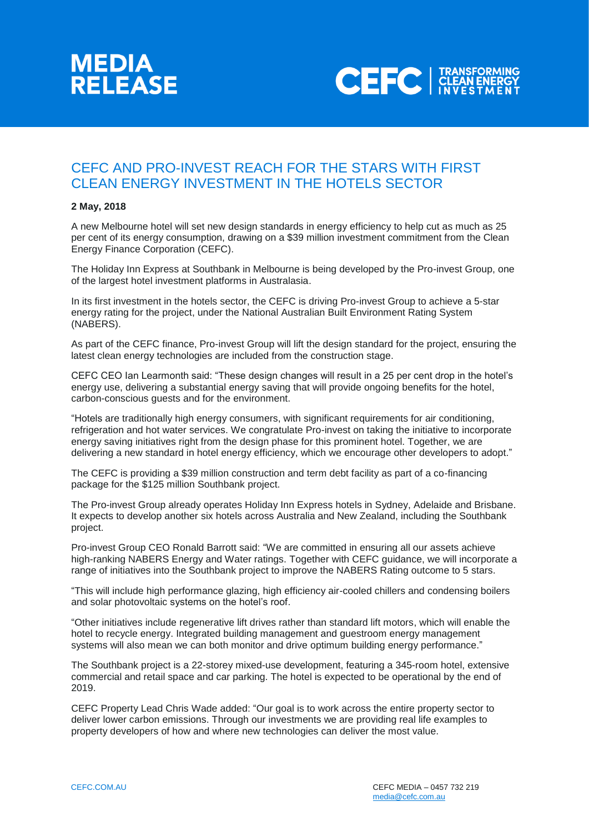



## CEFC AND PRO-INVEST REACH FOR THE STARS WITH FIRST CLEAN ENERGY INVESTMENT IN THE HOTELS SECTOR

## **2 May, 2018**

A new Melbourne hotel will set new design standards in energy efficiency to help cut as much as 25 per cent of its energy consumption, drawing on a \$39 million investment commitment from the Clean Energy Finance Corporation (CEFC).

The Holiday Inn Express at Southbank in Melbourne is being developed by the Pro-invest Group, one of the largest hotel investment platforms in Australasia.

In its first investment in the hotels sector, the CEFC is driving Pro-invest Group to achieve a 5-star energy rating for the project, under the National Australian Built Environment Rating System (NABERS).

As part of the CEFC finance, Pro-invest Group will lift the design standard for the project, ensuring the latest clean energy technologies are included from the construction stage.

CEFC CEO Ian Learmonth said: "These design changes will result in a 25 per cent drop in the hotel's energy use, delivering a substantial energy saving that will provide ongoing benefits for the hotel, carbon-conscious guests and for the environment.

"Hotels are traditionally high energy consumers, with significant requirements for air conditioning, refrigeration and hot water services. We congratulate Pro-invest on taking the initiative to incorporate energy saving initiatives right from the design phase for this prominent hotel. Together, we are delivering a new standard in hotel energy efficiency, which we encourage other developers to adopt."

The CEFC is providing a \$39 million construction and term debt facility as part of a co-financing package for the \$125 million Southbank project.

The Pro-invest Group already operates Holiday Inn Express hotels in Sydney, Adelaide and Brisbane. It expects to develop another six hotels across Australia and New Zealand, including the Southbank project.

Pro-invest Group CEO Ronald Barrott said: "We are committed in ensuring all our assets achieve high-ranking NABERS Energy and Water ratings. Together with CEFC guidance, we will incorporate a range of initiatives into the Southbank project to improve the NABERS Rating outcome to 5 stars.

"This will include high performance glazing, high efficiency air-cooled chillers and condensing boilers and solar photovoltaic systems on the hotel's roof.

"Other initiatives include regenerative lift drives rather than standard lift motors, which will enable the hotel to recycle energy. Integrated building management and guestroom energy management systems will also mean we can both monitor and drive optimum building energy performance."

The Southbank project is a 22-storey mixed-use development, featuring a 345-room hotel, extensive commercial and retail space and car parking. The hotel is expected to be operational by the end of 2019.

CEFC Property Lead Chris Wade added: "Our goal is to work across the entire property sector to deliver lower carbon emissions. Through our investments we are providing real life examples to property developers of how and where new technologies can deliver the most value.